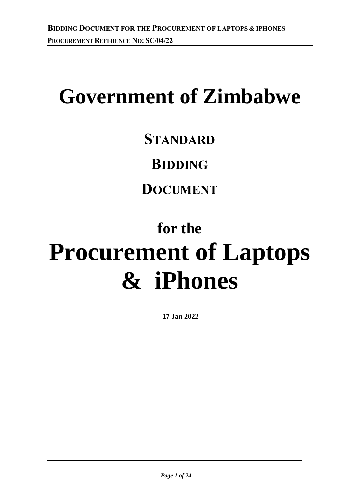# **Government of Zimbabwe**

# **STANDARD**

# **BIDDING**

# **DOCUMENT**

# **for the Procurement of Laptops & iPhones**

**17 Jan 2022**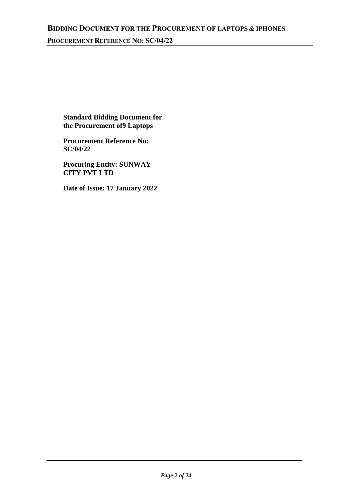### **BIDDING DOCUMENT FOR THE PROCUREMENT OF LAPTOPS & IPHONES PROCUREMENT REFERENCE NO: SC/04/22**

**Standard Bidding Document for the Procurement of9 Laptops**

**Procurement Reference No: SC/04/22**

**Procuring Entity: SUNWAY CITY PVT LTD**

**Date of Issue: 17 January 2022**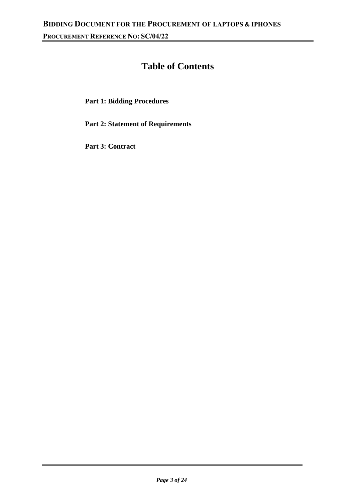### **Table of Contents**

**Part 1: Bidding Procedures**

**Part 2: Statement of Requirements**

**Part 3: Contract**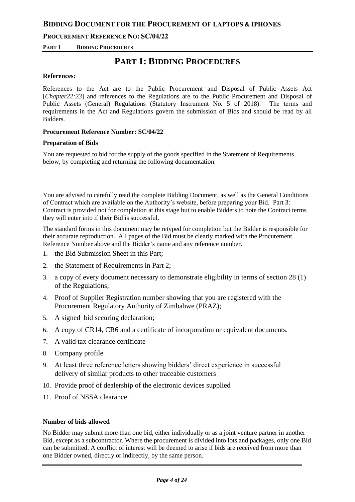#### **PROCUREMENT REFERENCE NO: SC/04/22**

**PART 1 BIDDING PROCEDURES**

### **PART 1: BIDDING PROCEDURES**

#### **References:**

References to the Act are to the Public Procurement and Disposal of Public Assets Act [*Chapter22:23*] and references to the Regulations are to the Public Procurement and Disposal of Public Assets (General) Regulations (Statutory Instrument No. 5 of 2018). The terms and requirements in the Act and Regulations govern the submission of Bids and should be read by all Bidders.

#### **Procurement Reference Number: SC/04/22**

#### **Preparation of Bids**

You are requested to bid for the supply of the goods specified in the Statement of Requirements below, by completing and returning the following documentation:

You are advised to carefully read the complete Bidding Document, as well as the General Conditions of Contract which are available on the Authority's website, before preparing your Bid. Part 3: Contract is provided not for completion at this stage but to enable Bidders to note the Contract terms they will enter into if their Bid is successful.

The standard forms in this document may be retyped for completion but the Bidder is responsible for their accurate reproduction. All pages of the Bid must be clearly marked with the Procurement Reference Number above and the Bidder's name and any reference number.

- 1. the Bid Submission Sheet in this Part;
- 2. the Statement of Requirements in Part 2;
- 3. a copy of every document necessary to demonstrate eligibility in terms of section 28 (1) of the Regulations;
- 4. Proof of Supplier Registration number showing that you are registered with the Procurement Regulatory Authority of Zimbabwe (PRAZ);
- 5. A signed bid securing declaration;
- 6. A copy of CR14, CR6 and a certificate of incorporation or equivalent documents.
- 7. A valid tax clearance certificate
- 8. Company profile
- 9. At least three reference letters showing bidders' direct experience in successful delivery of similar products to other traceable customers
- 10. Provide proof of dealership of the electronic devices supplied
- 11. Proof of NSSA clearance.

#### **Number of bids allowed**

No Bidder may submit more than one bid, either individually or as a joint venture partner in another Bid, except as a subcontractor. Where the procurement is divided into lots and packages, only one Bid can be submitted. A conflict of interest will be deemed to arise if bids are received from more than one Bidder owned, directly or indirectly, by the same person.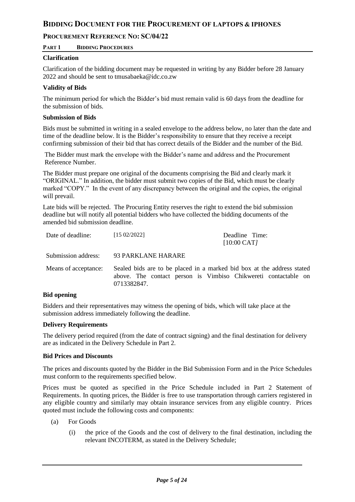#### **PROCUREMENT REFERENCE NO: SC/04/22**

#### **PART 1 BIDDING PROCEDURES**

#### **Clarification**

Clarification of the bidding document may be requested in writing by any Bidder before 28 January 2022 and should be sent to tmusabaeka@idc.co.zw

#### **Validity of Bids**

The minimum period for which the Bidder's bid must remain valid is 60 days from the deadline for the submission of bids.

#### **Submission of Bids**

Bids must be submitted in writing in a sealed envelope to the address below, no later than the date and time of the deadline below. It is the Bidder's responsibility to ensure that they receive a receipt confirming submission of their bid that has correct details of the Bidder and the number of the Bid.

The Bidder must mark the envelope with the Bidder's name and address and the Procurement Reference Number.

The Bidder must prepare one original of the documents comprising the Bid and clearly mark it "ORIGINAL." In addition, the bidder must submit two copies of the Bid, which must be clearly marked "COPY." In the event of any discrepancy between the original and the copies, the original will prevail.

Late bids will be rejected. The Procuring Entity reserves the right to extend the bid submission deadline but will notify all potential bidders who have collected the bidding documents of the amended bid submission deadline.

| Date of deadline: $[15 02/2022]$ |                                        | Deadline Time:<br>$[10:00 \text{ CAT}]$                                                                                                  |
|----------------------------------|----------------------------------------|------------------------------------------------------------------------------------------------------------------------------------------|
|                                  |                                        |                                                                                                                                          |
|                                  | Submission address: 93 PARKLANE HARARE |                                                                                                                                          |
| Means of acceptance:             | 0713382847.                            | Sealed bids are to be placed in a marked bid box at the address stated<br>above. The contact person is Vimbiso Chikwereti contactable on |

#### **Bid opening**

Bidders and their representatives may witness the opening of bids, which will take place at the submission address immediately following the deadline.

#### **Delivery Requirements**

The delivery period required (from the date of contract signing) and the final destination for delivery are as indicated in the Delivery Schedule in Part 2.

#### **Bid Prices and Discounts**

The prices and discounts quoted by the Bidder in the Bid Submission Form and in the Price Schedules must conform to the requirements specified below.

Prices must be quoted as specified in the Price Schedule included in Part 2 Statement of Requirements. In quoting prices, the Bidder is free to use transportation through carriers registered in any eligible country and similarly may obtain insurance services from any eligible country. Prices quoted must include the following costs and components:

- (a) For Goods
	- (i) the price of the Goods and the cost of delivery to the final destination, including the relevant INCOTERM, as stated in the Delivery Schedule;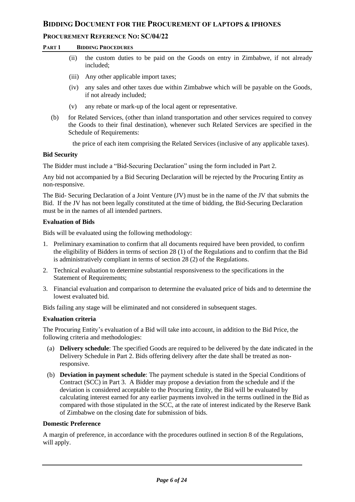#### **PROCUREMENT REFERENCE NO: SC/04/22**

#### **PART 1 BIDDING PROCEDURES**

- (ii) the custom duties to be paid on the Goods on entry in Zimbabwe, if not already included;
- (iii) Any other applicable import taxes;
- (iv) any sales and other taxes due within Zimbabwe which will be payable on the Goods, if not already included;
- (v) any rebate or mark-up of the local agent or representative.
- (b) for Related Services, (other than inland transportation and other services required to convey the Goods to their final destination), whenever such Related Services are specified in the Schedule of Requirements:

the price of each item comprising the Related Services (inclusive of any applicable taxes).

#### **Bid Security**

The Bidder must include a "Bid-Securing Declaration" using the form included in Part 2.

Any bid not accompanied by a Bid Securing Declaration will be rejected by the Procuring Entity as non-responsive.

The Bid- Securing Declaration of a Joint Venture (JV) must be in the name of the JV that submits the Bid. If the JV has not been legally constituted at the time of bidding, the Bid-Securing Declaration must be in the names of all intended partners.

#### **Evaluation of Bids**

Bids will be evaluated using the following methodology:

- 1. Preliminary examination to confirm that all documents required have been provided, to confirm the eligibility of Bidders in terms of section 28 (1) of the Regulations and to confirm that the Bid is administratively compliant in terms of section 28 (2) of the Regulations.
- 2. Technical evaluation to determine substantial responsiveness to the specifications in the Statement of Requirements;
- 3. Financial evaluation and comparison to determine the evaluated price of bids and to determine the lowest evaluated bid.

Bids failing any stage will be eliminated and not considered in subsequent stages.

#### **Evaluation criteria**

The Procuring Entity's evaluation of a Bid will take into account, in addition to the Bid Price, the following criteria and methodologies:

- (a) **Delivery schedule**: The specified Goods are required to be delivered by the date indicated in the Delivery Schedule in Part 2. Bids offering delivery after the date shall be treated as nonresponsive.
- (b) **Deviation in payment schedule**: The payment schedule is stated in the Special Conditions of Contract (SCC) in Part 3. A Bidder may propose a deviation from the schedule and if the deviation is considered acceptable to the Procuring Entity, the Bid will be evaluated by calculating interest earned for any earlier payments involved in the terms outlined in the Bid as compared with those stipulated in the SCC, at the rate of interest indicated by the Reserve Bank of Zimbabwe on the closing date for submission of bids.

#### **Domestic Preference**

A margin of preference, in accordance with the procedures outlined in section 8 of the Regulations, will apply.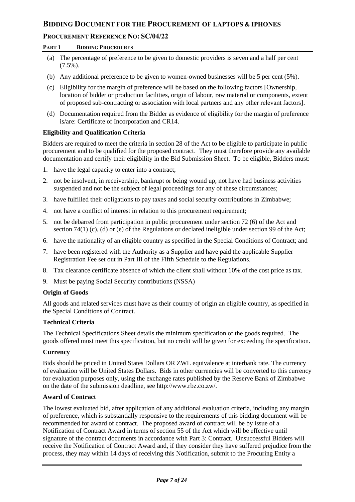#### **PROCUREMENT REFERENCE NO: SC/04/22**

#### **PART 1 BIDDING PROCEDURES**

- (a) The percentage of preference to be given to domestic providers is seven and a half per cent  $(7.5\%)$ .
- (b) Any additional preference to be given to women-owned businesses will be 5 per cent (5%).
- (c) Eligibility for the margin of preference will be based on the following factors [Ownership, location of bidder or production facilities, origin of labour, raw material or components, extent of proposed sub-contracting or association with local partners and any other relevant factors].
- (d) Documentation required from the Bidder as evidence of eligibility for the margin of preference is/are: Certificate of Incorporation and CR14.

#### **Eligibility and Qualification Criteria**

Bidders are required to meet the criteria in section 28 of the Act to be eligible to participate in public procurement and to be qualified for the proposed contract. They must therefore provide any available documentation and certify their eligibility in the Bid Submission Sheet. To be eligible, Bidders must:

- 1. have the legal capacity to enter into a contract;
- 2. not be insolvent, in receivership, bankrupt or being wound up, not have had business activities suspended and not be the subject of legal proceedings for any of these circumstances;
- 3. have fulfilled their obligations to pay taxes and social security contributions in Zimbabwe;
- 4. not have a conflict of interest in relation to this procurement requirement;
- 5. not be debarred from participation in public procurement under section 72 (6) of the Act and section 74(1) (c), (d) or (e) of the Regulations or declared ineligible under section 99 of the Act;
- 6. have the nationality of an eligible country as specified in the Special Conditions of Contract; and
- 7. have been registered with the Authority as a Supplier and have paid the applicable Supplier Registration Fee set out in Part III of the Fifth Schedule to the Regulations.
- 8. Tax clearance certificate absence of which the client shall without 10% of the cost price as tax.
- 9. Must be paying Social Security contributions (NSSA)

#### **Origin of Goods**

All goods and related services must have as their country of origin an eligible country, as specified in the Special Conditions of Contract.

#### **Technical Criteria**

The Technical Specifications Sheet details the minimum specification of the goods required. The goods offered must meet this specification, but no credit will be given for exceeding the specification.

#### **Currency**

Bids should be priced in United States Dollars OR ZWL equivalence at interbank rate. The currency of evaluation will be United States Dollars. Bids in other currencies will be converted to this currency for evaluation purposes only, using the exchange rates published by the Reserve Bank of Zimbabwe on the date of the submission deadline, see http://www.rbz.co.zw/.

#### **Award of Contract**

The lowest evaluated bid, after application of any additional evaluation criteria, including any margin of preference, which is substantially responsive to the requirements of this bidding document will be recommended for award of contract. The proposed award of contract will be by issue of a Notification of Contract Award in terms of section 55 of the Act which will be effective until signature of the contract documents in accordance with Part 3: Contract. Unsuccessful Bidders will receive the Notification of Contract Award and, if they consider they have suffered prejudice from the process, they may within 14 days of receiving this Notification, submit to the Procuring Entity a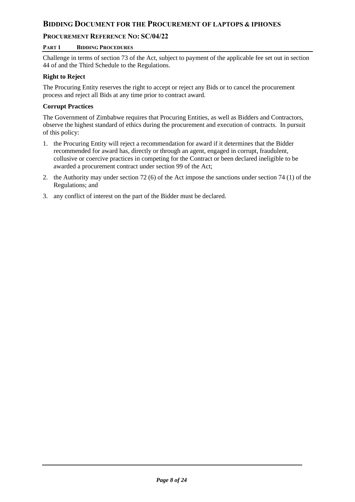#### **PROCUREMENT REFERENCE NO: SC/04/22**

#### **PART 1 BIDDING PROCEDURES**

Challenge in terms of section 73 of the Act, subject to payment of the applicable fee set out in section 44 of and the Third Schedule to the Regulations.

#### **Right to Reject**

The Procuring Entity reserves the right to accept or reject any Bids or to cancel the procurement process and reject all Bids at any time prior to contract award.

#### **Corrupt Practices**

The Government of Zimbabwe requires that Procuring Entities, as well as Bidders and Contractors, observe the highest standard of ethics during the procurement and execution of contracts. In pursuit of this policy:

- 1. the Procuring Entity will reject a recommendation for award if it determines that the Bidder recommended for award has, directly or through an agent, engaged in corrupt, fraudulent, collusive or coercive practices in competing for the Contract or been declared ineligible to be awarded a procurement contract under section 99 of the Act;
- 2. the Authority may under section 72 (6) of the Act impose the sanctions under section 74 (1) of the Regulations; and
- 3. any conflict of interest on the part of the Bidder must be declared.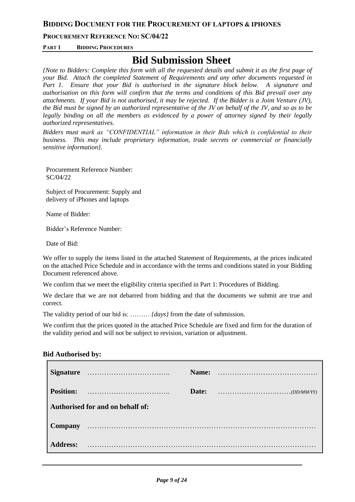**PROCUREMENT REFERENCE NO: SC/04/22**

#### **PART 1 BIDDING PROCEDURES**

### **Bid Submission Sheet**

*{Note to Bidders: Complete this form with all the requested details and submit it as the first page of your Bid. Attach the completed Statement of Requirements and any other documents requested in Part 1. Ensure that your Bid is authorised in the signature block below. A signature and authorisation on this form will confirm that the terms and conditions of this Bid prevail over any attachments. If your Bid is not authorised, it may be rejected. If the Bidder is a Joint Venture (JV), the Bid must be signed by an authorized representative of the JV on behalf of the JV, and so as to be legally binding on all the members as evidenced by a power of attorney signed by their legally authorized representatives.* 

*Bidders must mark as "CONFIDENTIAL" information in their Bids which is confidential to their business. This may include proprietary information, trade secrets or commercial or financially sensitive information}.* 

Procurement Reference Number: SC/04/22

Subject of Procurement: Supply and delivery of iPhones and laptops

Name of Bidder:

Bidder's Reference Number:

Date of Bid:

We offer to supply the items listed in the attached Statement of Requirements, at the prices indicated on the attached Price Schedule and in accordance with the terms and conditions stated in your Bidding Document referenced above.

We confirm that we meet the eligibility criteria specified in Part 1: Procedures of Bidding.

We declare that we are not debarred from bidding and that the documents we submit are true and correct.

The validity period of our bid is: ……… *{days}* from the date of submission.

We confirm that the prices quoted in the attached Price Schedule are fixed and firm for the duration of the validity period and will not be subject to revision, variation or adjustment.

#### **Bid Authorised by:**

| <b>Signature</b> |                                  | <b>Name:</b> |  |
|------------------|----------------------------------|--------------|--|
| <b>Position:</b> |                                  | Date:        |  |
|                  | Authorised for and on behalf of: |              |  |
| Company          |                                  |              |  |
| <b>Address:</b>  |                                  |              |  |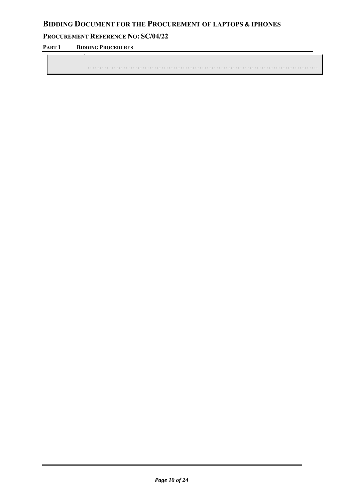#### **PROCUREMENT REFERENCE NO: SC/04/22**

**PART 1 BIDDING PROCEDURES**

…………………………………………………………………………………….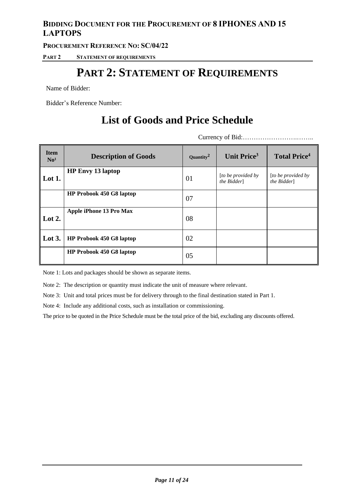**PROCUREMENT REFERENCE NO: SC/04/22**

**PART 2 STATEMENT OF REQUIREMENTS**

### **PART 2: STATEMENT OF REQUIREMENTS**

Name of Bidder:

Bidder's Reference Number:

### **List of Goods and Price Schedule**

Currency of Bid:…………………….……..

| <b>Item</b><br>No <sup>1</sup> | <b>Description of Goods</b> | Quantity <sup>2</sup> | Unit Price <sup>3</sup>           | <b>Total Price</b> <sup>4</sup>          |
|--------------------------------|-----------------------------|-----------------------|-----------------------------------|------------------------------------------|
| Lot 1.                         | <b>HP Envy 13 laptop</b>    | 01                    | [to be provided by<br>the Bidder] | <i>(to be provided by)</i><br>the Bidder |
|                                | HP Probook 450 G8 laptop    | 07                    |                                   |                                          |
| Lot 2.                         | Apple iPhone 13 Pro Max     | 08                    |                                   |                                          |
| Lot $3.$                       | HP Probook 450 G8 laptop    | 02                    |                                   |                                          |
|                                | HP Probook 450 G8 laptop    | 05                    |                                   |                                          |

Note 1: Lots and packages should be shown as separate items.

Note 2: The description or quantity must indicate the unit of measure where relevant.

Note 3: Unit and total prices must be for delivery through to the final destination stated in Part 1.

Note 4: Include any additional costs, such as installation or commissioning.

The price to be quoted in the Price Schedule must be the total price of the bid, excluding any discounts offered.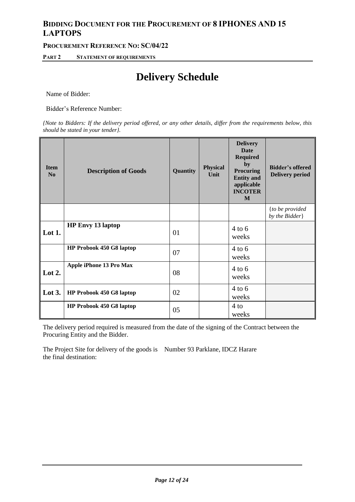**PROCUREMENT REFERENCE NO: SC/04/22**

**PART 2 STATEMENT OF REQUIREMENTS**

## **Delivery Schedule**

Name of Bidder:

Bidder's Reference Number:

*{Note to Bidders: If the delivery period offered, or any other details, differ from the requirements below, this should be stated in your tender}.* 

| <b>Item</b><br>$\mathbf{N}\mathbf{0}$ | <b>Description of Goods</b> | Quantity | <b>Physical</b><br>Unit | <b>Delivery</b><br><b>Date</b><br><b>Required</b><br>by<br><b>Procuring</b><br><b>Entity and</b><br>applicable<br><b>INCOTER</b><br>M | <b>Bidder's offered</b><br><b>Delivery period</b> |
|---------------------------------------|-----------------------------|----------|-------------------------|---------------------------------------------------------------------------------------------------------------------------------------|---------------------------------------------------|
|                                       |                             |          |                         |                                                                                                                                       | {to be provided<br>by the Bidder}                 |
| Lot 1.                                | <b>HP Envy 13 laptop</b>    | 01       |                         | $4$ to $6$<br>weeks                                                                                                                   |                                                   |
|                                       | HP Probook 450 G8 laptop    | 07       |                         | $4$ to 6<br>weeks                                                                                                                     |                                                   |
| Lot 2.                                | Apple iPhone 13 Pro Max     | 08       |                         | $4$ to 6<br>weeks                                                                                                                     |                                                   |
| Lot $3.$                              | HP Probook 450 G8 laptop    | 02       |                         | $4$ to 6<br>weeks                                                                                                                     |                                                   |
|                                       | HP Probook 450 G8 laptop    | 05       |                         | $4$ to<br>weeks                                                                                                                       |                                                   |

The delivery period required is measured from the date of the signing of the Contract between the Procuring Entity and the Bidder.

The Project Site for delivery of the goods is Number 93 Parklane, IDCZ Hararethe final destination: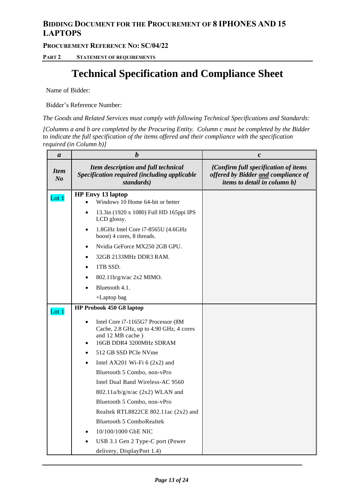**PROCUREMENT REFERENCE NO: SC/04/22**

**PART 2 STATEMENT OF REQUIREMENTS**

### **Technical Specification and Compliance Sheet**

Name of Bidder:

Bidder's Reference Number:

*The Goods and Related Services must comply with following Technical Specifications and Standards:* 

*[Columns a and b are completed by the Procuring Entity. Column c must be completed by the Bidder to indicate the full specification of the items offered and their compliance with the specification required (in Column b)]*

| a                             | $\boldsymbol{b}$                                                                                                                          | $\mathbf c$                                                                                                        |
|-------------------------------|-------------------------------------------------------------------------------------------------------------------------------------------|--------------------------------------------------------------------------------------------------------------------|
| <b>Item</b><br>N <sub>o</sub> | Item description and full technical<br>Specification required (including applicable<br>standards)                                         | {Confirm full specification of items<br>offered by Bidder and compliance of<br><i>items to detail in column b}</i> |
| Lot $1$                       | <b>HP Envy 13 laptop</b><br>Windows 10 Home 64-bit or better<br>13.3in (1920 x 1080) Full HD 165ppi IPS                                   |                                                                                                                    |
|                               | LCD glossy.<br>1.8GHz Intel Core i7-8565U (4.6GHz<br>boost) 4 cores, 8 threads.                                                           |                                                                                                                    |
|                               | Nvidia GeForce MX250 2GB GPU.                                                                                                             |                                                                                                                    |
|                               | 32GB 2133MHz DDR3 RAM.                                                                                                                    |                                                                                                                    |
|                               | 1TB SSD.<br>$\bullet$                                                                                                                     |                                                                                                                    |
|                               | 802.11b/g/n/ac 2x2 MIMO.                                                                                                                  |                                                                                                                    |
|                               | Bluetooth 4.1.                                                                                                                            |                                                                                                                    |
|                               | +Laptop bag                                                                                                                               |                                                                                                                    |
| Lot $1$                       | HP Probook 450 G8 laptop                                                                                                                  |                                                                                                                    |
|                               | Intel Core i7-1165G7 Processor (8M<br>Cache, 2.8 GHz, up to 4.90 GHz, 4 cores<br>and 12 MB cache)<br>16GB DDR4 3200MHz SDRAM<br>$\bullet$ |                                                                                                                    |
|                               | 512 GB SSD PCIe NVme                                                                                                                      |                                                                                                                    |
|                               | Intel AX201 Wi-Fi $6$ (2x2) and<br>$\bullet$                                                                                              |                                                                                                                    |
|                               | Bluetooth 5 Combo, non-vPro                                                                                                               |                                                                                                                    |
|                               | Intel Dual Band Wireless-AC 9560                                                                                                          |                                                                                                                    |
|                               | $802.11a/b/g/n/ac$ (2x2) WLAN and                                                                                                         |                                                                                                                    |
|                               | Bluetooth 5 Combo, non-vPro                                                                                                               |                                                                                                                    |
|                               | Realtek RTL8822CE 802.11ac (2x2) and                                                                                                      |                                                                                                                    |
|                               | <b>Bluetooth 5 ComboRealtek</b>                                                                                                           |                                                                                                                    |
|                               | 10/100/1000 GbE NIC                                                                                                                       |                                                                                                                    |
|                               | USB 3.1 Gen 2 Type-C port (Power                                                                                                          |                                                                                                                    |
|                               | delivery, DisplayPort 1.4)                                                                                                                |                                                                                                                    |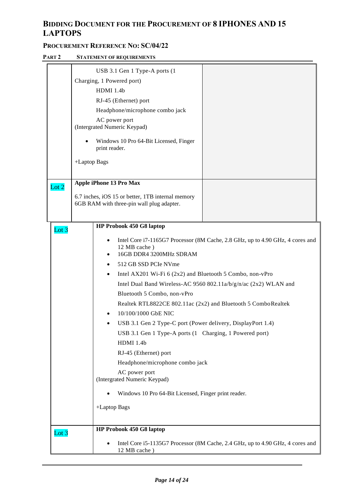#### **PROCUREMENT REFERENCE NO: SC/04/22**

**PART 2 STATEMENT OF REQUIREMENTS**

|         | USB 3.1 Gen 1 Type-A ports (1<br>Charging, 1 Powered port)<br>HDMI 1.4b<br>RJ-45 (Ethernet) port<br>Headphone/microphone combo jack                                                                                                                                                                                                                                                                                                                                                                                                                                                                                                                                                    |                                                                                |
|---------|----------------------------------------------------------------------------------------------------------------------------------------------------------------------------------------------------------------------------------------------------------------------------------------------------------------------------------------------------------------------------------------------------------------------------------------------------------------------------------------------------------------------------------------------------------------------------------------------------------------------------------------------------------------------------------------|--------------------------------------------------------------------------------|
|         | AC power port<br>(Intergrated Numeric Keypad)<br>Windows 10 Pro 64-Bit Licensed, Finger                                                                                                                                                                                                                                                                                                                                                                                                                                                                                                                                                                                                |                                                                                |
|         | print reader.<br>+Laptop Bags                                                                                                                                                                                                                                                                                                                                                                                                                                                                                                                                                                                                                                                          |                                                                                |
|         | Apple iPhone 13 Pro Max                                                                                                                                                                                                                                                                                                                                                                                                                                                                                                                                                                                                                                                                |                                                                                |
| Lot $2$ | 6.7 inches, iOS 15 or better, 1TB internal memory<br>6GB RAM with three-pin wall plug adapter.                                                                                                                                                                                                                                                                                                                                                                                                                                                                                                                                                                                         |                                                                                |
| Lot $3$ | HP Probook 450 G8 laptop<br>12 MB cache)<br>16GB DDR4 3200MHz SDRAM<br>512 GB SSD PCIe NVme<br>Intel AX201 Wi-Fi $6(2x2)$ and Bluetooth 5 Combo, non-vPro<br>٠<br>Intel Dual Band Wireless-AC 9560 802.11a/b/g/n/ac (2x2) WLAN and<br>Bluetooth 5 Combo, non-vPro<br>Realtek RTL8822CE 802.11ac (2x2) and Bluetooth 5 Combo Realtek<br>10/100/1000 GbE NIC<br>USB 3.1 Gen 2 Type-C port (Power delivery, DisplayPort 1.4)<br>USB 3.1 Gen 1 Type-A ports (1 Charging, 1 Powered port)<br>HDMI 1.4b<br>RJ-45 (Ethernet) port<br>Headphone/microphone combo jack<br>AC power port<br>(Intergrated Numeric Keypad)<br>Windows 10 Pro 64-Bit Licensed, Finger print reader.<br>+Laptop Bags | Intel Core i7-1165G7 Processor (8M Cache, 2.8 GHz, up to 4.90 GHz, 4 cores and |
| Lot $3$ | HP Probook 450 G8 laptop<br>12 MB cache)                                                                                                                                                                                                                                                                                                                                                                                                                                                                                                                                                                                                                                               | Intel Core i5-1135G7 Processor (8M Cache, 2.4 GHz, up to 4.90 GHz, 4 cores and |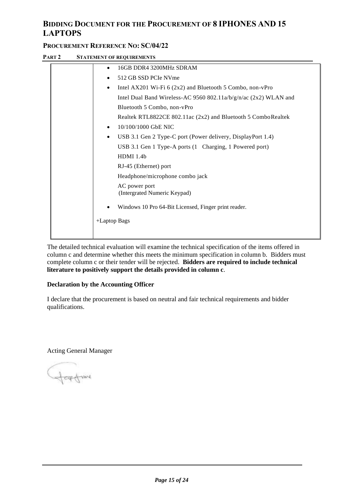#### **PROCUREMENT REFERENCE NO: SC/04/22**

| PART <sub>2</sub> | <b>STATEMENT OF REQUIREMENTS</b>                                        |
|-------------------|-------------------------------------------------------------------------|
|                   | 16GB DDR4 3200MHz SDRAM                                                 |
|                   | 512 GB SSD PCIe NVme                                                    |
|                   | Intel AX201 Wi-Fi $6(2x2)$ and Bluetooth 5 Combo, non-vPro<br>$\bullet$ |
|                   | Intel Dual Band Wireless-AC 9560 802.11a/b/g/n/ac (2x2) WLAN and        |
|                   | Bluetooth 5 Combo, non-vPro                                             |
|                   | Realtek RTL8822CE 802.11ac (2x2) and Bluetooth 5 Combo Realtek          |
|                   | 10/100/1000 GbE NIC                                                     |
|                   | USB 3.1 Gen 2 Type-C port (Power delivery, DisplayPort 1.4)             |
|                   | USB 3.1 Gen 1 Type-A ports (1 Charging, 1 Powered port)                 |
|                   | HDMI 1.4b                                                               |
|                   | RJ-45 (Ethernet) port                                                   |
|                   | Headphone/microphone combo jack                                         |
|                   | AC power port<br>(Intergrated Numeric Keypad)                           |
|                   | Windows 10 Pro 64-Bit Licensed, Finger print reader.                    |
|                   | +Laptop Bags                                                            |
|                   |                                                                         |

The detailed technical evaluation will examine the technical specification of the items offered in column c and determine whether this meets the minimum specification in column b. Bidders must complete column c or their tender will be rejected. **Bidders are required to include technical literature to positively support the details provided in column c**.

#### **Declaration by the Accounting Officer**

I declare that the procurement is based on neutral and fair technical requirements and bidder qualifications.

Acting General Manager

contine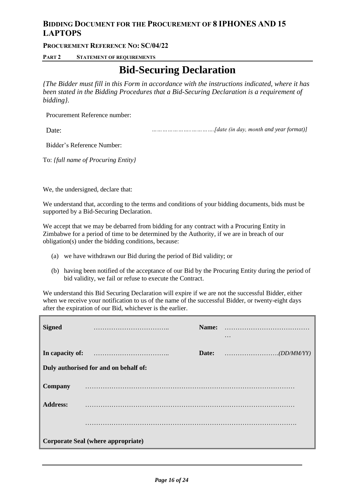#### **PROCUREMENT REFERENCE NO: SC/04/22**

**PART 2 STATEMENT OF REQUIREMENTS**

### **Bid-Securing Declaration**

*{The Bidder must fill in this Form in accordance with the instructions indicated, where it has been stated in the Bidding Procedures that a Bid-Securing Declaration is a requirement of bidding}.*

Procurement Reference number:

Date: *…………………..………….[date (in day, month and year format)]*

Bidder's Reference Number:

To: *{full name of Procuring Entity}*

We, the undersigned, declare that:

We understand that, according to the terms and conditions of your bidding documents, bids must be supported by a Bid-Securing Declaration.

We accept that we may be debarred from bidding for any contract with a Procuring Entity in Zimbabwe for a period of time to be determined by the Authority*,* if we are in breach of our obligation(s) under the bidding conditions, because:

- (a) we have withdrawn our Bid during the period of Bid validity; or
- (b) having been notified of the acceptance of our Bid by the Procuring Entity during the period of bid validity, we fail or refuse to execute the Contract.

We understand this Bid Securing Declaration will expire if we are not the successful Bidder, either when we receive your notification to us of the name of the successful Bidder, or twenty-eight days after the expiration of our Bid, whichever is the earlier.

| <b>Signed</b>                             |                                       | Name: | $\cdots$                                                             |
|-------------------------------------------|---------------------------------------|-------|----------------------------------------------------------------------|
| In capacity of:                           |                                       | Date: | $\ldots \ldots \ldots \ldots \ldots \ldots \ldots \ldots (DD/MM/YY)$ |
|                                           | Duly authorised for and on behalf of: |       |                                                                      |
| Company                                   |                                       |       |                                                                      |
| <b>Address:</b>                           |                                       |       |                                                                      |
|                                           |                                       |       |                                                                      |
| <b>Corporate Seal (where appropriate)</b> |                                       |       |                                                                      |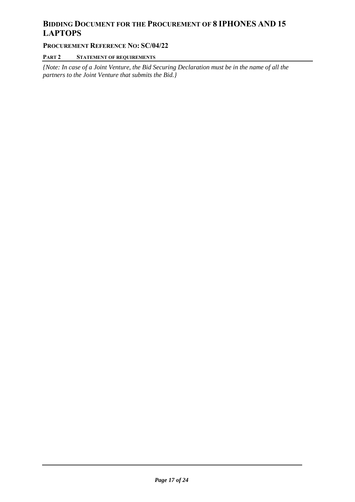#### **PROCUREMENT REFERENCE NO: SC/04/22**

**PART 2 STATEMENT OF REQUIREMENTS**

*{Note: In case of a Joint Venture, the Bid Securing Declaration must be in the name of all the partners to the Joint Venture that submits the Bid.}*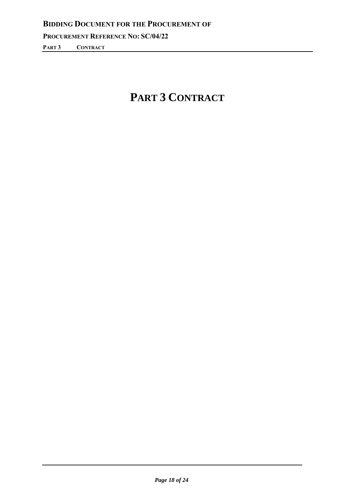## **PART 3 CONTRACT**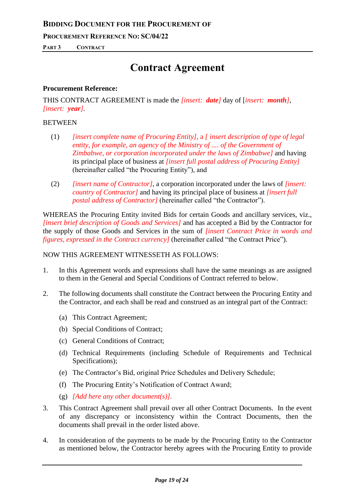**PROCUREMENT REFERENCE NO: SC/04/22**

**PART 3 CONTRACT**

### **Contract Agreement**

#### **Procurement Reference:**

THIS CONTRACT AGREEMENT is made the *[insert: date]* day of [*insert: month]*, *[insert: year]*.

#### **BETWEEN**

- (1) *[insert complete name of Procuring Entity]*, a *[ insert description of type of legal entity, for example, an agency of the Ministry of .... of the Government of Zimbabwe, or corporation incorporated under the laws of Zimbabwe]* and having its principal place of business at *[insert full postal address of Procuring Entity]* (hereinafter called "the Procuring Entity"), and
- (2) *[insert name of Contractor]*, a corporation incorporated under the laws of *[insert: country of Contractor]* and having its principal place of business at *[insert full postal address of Contractor]* (hereinafter called "the Contractor").

WHEREAS the Procuring Entity invited Bids for certain Goods and ancillary services, viz., *[insert brief description of Goods and Services]* and has accepted a Bid by the Contractor for the supply of those Goods and Services in the sum of *[insert Contract Price in words and figures, expressed in the Contract currency]* (hereinafter called "the Contract Price").

NOW THIS AGREEMENT WITNESSETH AS FOLLOWS:

- 1. In this Agreement words and expressions shall have the same meanings as are assigned to them in the General and Special Conditions of Contract referred to below.
- 2. The following documents shall constitute the Contract between the Procuring Entity and the Contractor, and each shall be read and construed as an integral part of the Contract:
	- (a) This Contract Agreement;
	- (b) Special Conditions of Contract;
	- (c) General Conditions of Contract;
	- (d) Technical Requirements (including Schedule of Requirements and Technical Specifications);
	- (e) The Contractor's Bid, original Price Schedules and Delivery Schedule;
	- (f) The Procuring Entity's Notification of Contract Award;
	- (g) *[Add here any other document(s)].*
- 3. This Contract Agreement shall prevail over all other Contract Documents. In the event of any discrepancy or inconsistency within the Contract Documents, then the documents shall prevail in the order listed above.
- 4. In consideration of the payments to be made by the Procuring Entity to the Contractor as mentioned below, the Contractor hereby agrees with the Procuring Entity to provide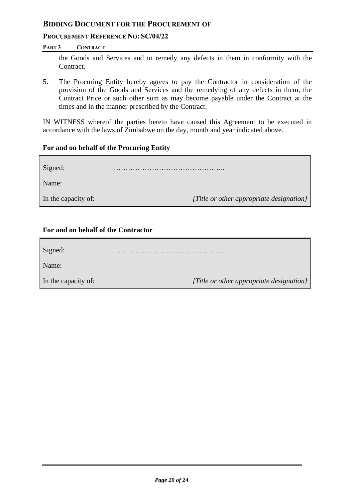#### **BIDDING DOCUMENT FOR THE PROCUREMENT OF**

#### **PROCUREMENT REFERENCE NO: SC/04/22**

#### **PART 3 CONTRACT**

the Goods and Services and to remedy any defects in them in conformity with the Contract.

5. The Procuring Entity hereby agrees to pay the Contractor in consideration of the provision of the Goods and Services and the remedying of any defects in them, the Contract Price or such other sum as may become payable under the Contract at the times and in the manner prescribed by the Contract.

IN WITNESS whereof the parties hereto have caused this Agreement to be executed in accordance with the laws of Zimbabwe on the day, month and year indicated above.

#### **For and on behalf of the Procuring Entity**

| Signed:             |                                          |
|---------------------|------------------------------------------|
| Name:               |                                          |
| In the capacity of: | [Title or other appropriate designation] |

#### **For and on behalf of the Contractor**

 $\blacksquare$ 

| Signed:             |                                          |
|---------------------|------------------------------------------|
| Name:               |                                          |
| In the capacity of: | [Title or other appropriate designation] |

 $\overline{\phantom{a}}$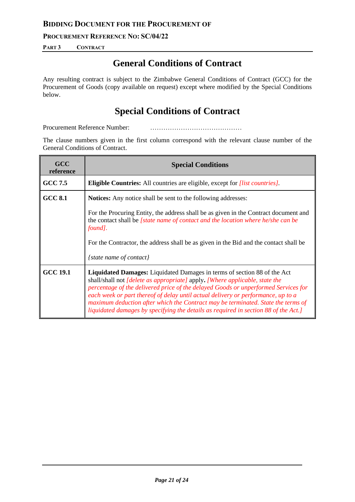**PROCUREMENT REFERENCE NO: SC/04/22**

**PART 3 CONTRACT**

### **General Conditions of Contract**

Any resulting contract is subject to the Zimbabwe General Conditions of Contract (GCC) for the Procurement of Goods (copy available on request) except where modified by the Special Conditions below.

### **Special Conditions of Contract**

Procurement Reference Number: ……………………………………

The clause numbers given in the first column correspond with the relevant clause number of the General Conditions of Contract.

| <b>GCC</b><br>reference | <b>Special Conditions</b>                                                                                                                                                                                                                                                                                                                                                                                                                                                                                                  |
|-------------------------|----------------------------------------------------------------------------------------------------------------------------------------------------------------------------------------------------------------------------------------------------------------------------------------------------------------------------------------------------------------------------------------------------------------------------------------------------------------------------------------------------------------------------|
| GCC 7.5                 | <b>Eligible Countries:</b> All countries are eligible, except for <i>[list countries]</i> .                                                                                                                                                                                                                                                                                                                                                                                                                                |
| <b>GCC 8.1</b>          | <b>Notices:</b> Any notice shall be sent to the following addresses:                                                                                                                                                                                                                                                                                                                                                                                                                                                       |
|                         | For the Procuring Entity, the address shall be as given in the Contract document and<br>the contact shall be <i>[state name of contact and the location where he/she can be</i><br>found].                                                                                                                                                                                                                                                                                                                                 |
|                         | For the Contractor, the address shall be as given in the Bid and the contact shall be                                                                                                                                                                                                                                                                                                                                                                                                                                      |
|                         | {state name of contact}                                                                                                                                                                                                                                                                                                                                                                                                                                                                                                    |
| <b>GCC 19.1</b>         | <b>Liquidated Damages:</b> Liquidated Damages in terms of section 88 of the Act<br>shall/shall not <i>[delete as appropriate]</i> apply. [Where applicable, state the<br>percentage of the delivered price of the delayed Goods or unperformed Services for<br>each week or part thereof of delay until actual delivery or performance, up to a<br>maximum deduction after which the Contract may be terminated. State the terms of<br>liquidated damages by specifying the details as required in section 88 of the Act.] |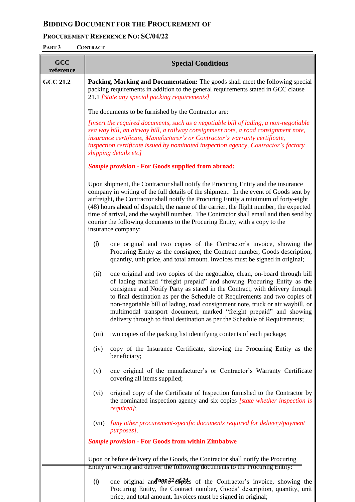#### **BIDDING DOCUMENT FOR THE PROCUREMENT OF**

#### **PROCUREMENT REFERENCE NO: SC/04/22**

#### **PART 3 CONTRACT**

| GCC<br>reference | <b>Special Conditions</b>                                                                                                                                                                                                                                                                                                                                                                                                                                                                                                                                         |
|------------------|-------------------------------------------------------------------------------------------------------------------------------------------------------------------------------------------------------------------------------------------------------------------------------------------------------------------------------------------------------------------------------------------------------------------------------------------------------------------------------------------------------------------------------------------------------------------|
| <b>GCC 21.2</b>  | Packing, Marking and Documentation: The goods shall meet the following special<br>packing requirements in addition to the general requirements stated in GCC clause<br>21.1 [State any special packing requirements]                                                                                                                                                                                                                                                                                                                                              |
|                  | The documents to be furnished by the Contractor are:                                                                                                                                                                                                                                                                                                                                                                                                                                                                                                              |
|                  | [insert the required documents, such as a negotiable bill of lading, a non-negotiable<br>sea way bill, an airway bill, a railway consignment note, a road consignment note,<br>insurance certificate, Manufacturer's or Contractor's warranty certificate,<br>inspection certificate issued by nominated inspection agency, Contractor's factory<br>shipping details etc]                                                                                                                                                                                         |
|                  | <b>Sample provision - For Goods supplied from abroad:</b>                                                                                                                                                                                                                                                                                                                                                                                                                                                                                                         |
|                  | Upon shipment, the Contractor shall notify the Procuring Entity and the insurance<br>company in writing of the full details of the shipment. In the event of Goods sent by<br>airfreight, the Contractor shall notify the Procuring Entity a minimum of forty-eight<br>(48) hours ahead of dispatch, the name of the carrier, the flight number, the expected<br>time of arrival, and the waybill number. The Contractor shall email and then send by<br>courier the following documents to the Procuring Entity, with a copy to the<br>insurance company:        |
|                  | (i)<br>one original and two copies of the Contractor's invoice, showing the<br>Procuring Entity as the consignee; the Contract number, Goods description,<br>quantity, unit price, and total amount. Invoices must be signed in original;                                                                                                                                                                                                                                                                                                                         |
|                  | one original and two copies of the negotiable, clean, on-board through bill<br>(ii)<br>of lading marked "freight prepaid" and showing Procuring Entity as the<br>consignee and Notify Party as stated in the Contract, with delivery through<br>to final destination as per the Schedule of Requirements and two copies of<br>non-negotiable bill of lading, road consignment note, truck or air waybill, or<br>multimodal transport document, marked "freight prepaid" and showing<br>delivery through to final destination as per the Schedule of Requirements; |
|                  | two copies of the packing list identifying contents of each package;<br>(iii)                                                                                                                                                                                                                                                                                                                                                                                                                                                                                     |
|                  | copy of the Insurance Certificate, showing the Procuring Entity as the<br>(iv)<br>beneficiary;                                                                                                                                                                                                                                                                                                                                                                                                                                                                    |
|                  | one original of the manufacturer's or Contractor's Warranty Certificate<br>(v)<br>covering all items supplied;                                                                                                                                                                                                                                                                                                                                                                                                                                                    |
|                  | original copy of the Certificate of Inspection furnished to the Contractor by<br>(vi)<br>the nominated inspection agency and six copies [state whether inspection is<br>required];                                                                                                                                                                                                                                                                                                                                                                                |
|                  | (vii) [any other procurement-specific documents required for delivery/payment<br>purposes].                                                                                                                                                                                                                                                                                                                                                                                                                                                                       |
|                  | <b>Sample provision - For Goods from within Zimbabwe</b>                                                                                                                                                                                                                                                                                                                                                                                                                                                                                                          |
|                  | Upon or before delivery of the Goods, the Contractor shall notify the Procuring<br>Entity in writing and deliver the following documents to the Procuring Entity:                                                                                                                                                                                                                                                                                                                                                                                                 |
|                  | one original and ask 32 of pless of the Contractor's invoice, showing the<br>(i)<br>Procuring Entity, the Contract number, Goods' description, quantity, unit<br>price, and total amount. Invoices must be signed in original;                                                                                                                                                                                                                                                                                                                                    |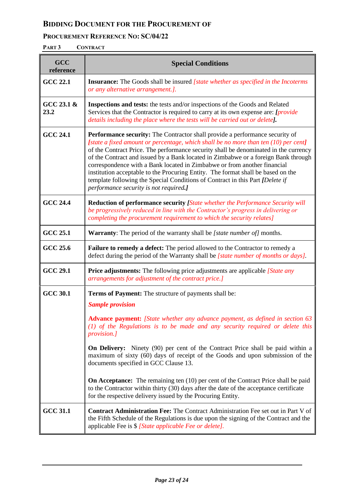#### **BIDDING DOCUMENT FOR THE PROCUREMENT OF**

#### **PROCUREMENT REFERENCE NO: SC/04/22**

**PART 3 CONTRACT**

| GCC<br>reference   | <b>Special Conditions</b>                                                                                                                                                                                                                                                                                                                                                                                                                                                                                                                                                                                                                    |
|--------------------|----------------------------------------------------------------------------------------------------------------------------------------------------------------------------------------------------------------------------------------------------------------------------------------------------------------------------------------------------------------------------------------------------------------------------------------------------------------------------------------------------------------------------------------------------------------------------------------------------------------------------------------------|
| <b>GCC 22.1</b>    | <b>Insurance:</b> The Goods shall be insured <i>[state whether as specified in the Incoterms</i><br>or any alternative arrangement.].                                                                                                                                                                                                                                                                                                                                                                                                                                                                                                        |
| GCC 23.1 &<br>23.2 | Inspections and tests: the tests and/or inspections of the Goods and Related<br>Services that the Contractor is required to carry at its own expense are: <i>[provide</i> ]<br>details including the place where the tests will be carried out or delete].                                                                                                                                                                                                                                                                                                                                                                                   |
| <b>GCC 24.1</b>    | Performance security: The Contractor shall provide a performance security of<br>[state a fixed amount or percentage, which shall be no more than ten (10) per cent]<br>of the Contract Price. The performance security shall be denominated in the currency<br>of the Contract and issued by a Bank located in Zimbabwe or a foreign Bank through<br>correspondence with a Bank located in Zimbabwe or from another financial<br>institution acceptable to the Procuring Entity. The format shall be based on the<br>template following the Special Conditions of Contract in this Part [Delete if<br>performance security is not required.] |
| <b>GCC 24.4</b>    | Reduction of performance security [State whether the Performance Security will<br>be progressively reduced in line with the Contractor's progress in delivering or<br>completing the procurement requirement to which the security relates]                                                                                                                                                                                                                                                                                                                                                                                                  |
| <b>GCC 25.1</b>    | <b>Warranty:</b> The period of the warranty shall be [state number of] months.                                                                                                                                                                                                                                                                                                                                                                                                                                                                                                                                                               |
| GCC 25.6           | Failure to remedy a defect: The period allowed to the Contractor to remedy a<br>defect during the period of the Warranty shall be [state number of months or days].                                                                                                                                                                                                                                                                                                                                                                                                                                                                          |
| <b>GCC 29.1</b>    | <b>Price adjustments:</b> The following price adjustments are applicable <i>[State any</i><br>arrangements for adjustment of the contract price.]                                                                                                                                                                                                                                                                                                                                                                                                                                                                                            |
| <b>GCC 30.1</b>    | Terms of Payment: The structure of payments shall be:<br><b>Sample provision</b>                                                                                                                                                                                                                                                                                                                                                                                                                                                                                                                                                             |
|                    | <b>Advance payment:</b> [State whether any advance payment, as defined in section 63<br>$(1)$ of the Regulations is to be made and any security required or delete this<br>provision.]                                                                                                                                                                                                                                                                                                                                                                                                                                                       |
|                    | <b>On Delivery:</b> Ninety (90) per cent of the Contract Price shall be paid within a<br>maximum of sixty (60) days of receipt of the Goods and upon submission of the<br>documents specified in GCC Clause 13.                                                                                                                                                                                                                                                                                                                                                                                                                              |
|                    | <b>On Acceptance:</b> The remaining ten (10) per cent of the Contract Price shall be paid<br>to the Contractor within thirty (30) days after the date of the acceptance certificate<br>for the respective delivery issued by the Procuring Entity.                                                                                                                                                                                                                                                                                                                                                                                           |
| <b>GCC 31.1</b>    | <b>Contract Administration Fee: The Contract Administration Fee set out in Part V of</b><br>the Fifth Schedule of the Regulations is due upon the signing of the Contract and the<br>applicable Fee is \$ [State applicable Fee or delete].                                                                                                                                                                                                                                                                                                                                                                                                  |